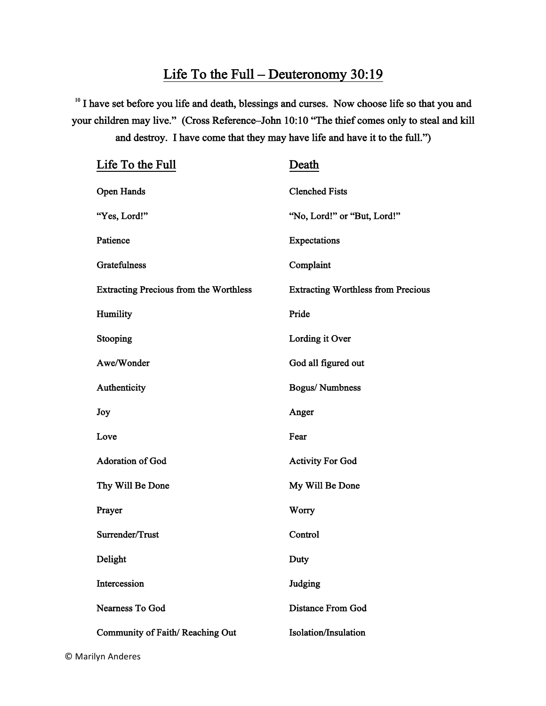## Life To the Full – Deuteronomy 30:19

<sup>10</sup> I have set before you life and death, blessings and curses. Now choose life so that you and your children may live." (Cross Reference–John 10:10 "The thief comes only to steal and kill and destroy. I have come that they may have life and have it to the full.")

| Life To the Full                              | Death                                     |
|-----------------------------------------------|-------------------------------------------|
| <b>Open Hands</b>                             | <b>Clenched Fists</b>                     |
| "Yes, Lord!"                                  | "No, Lord!" or "But, Lord!"               |
| Patience                                      | Expectations                              |
| Gratefulness                                  | Complaint                                 |
| <b>Extracting Precious from the Worthless</b> | <b>Extracting Worthless from Precious</b> |
| Humility                                      | Pride                                     |
| Stooping                                      | Lording it Over                           |
| Awe/Wonder                                    | God all figured out                       |
| Authenticity                                  | <b>Bogus/Numbness</b>                     |
| Joy                                           | Anger                                     |
| Love                                          | Fear                                      |
| <b>Adoration of God</b>                       | <b>Activity For God</b>                   |
| Thy Will Be Done                              | My Will Be Done                           |
| Prayer                                        | Worry                                     |
| Surrender/Trust                               | Control                                   |
| Delight                                       | Duty                                      |
| Intercession                                  | Judging                                   |
| Nearness To God                               | <b>Distance From God</b>                  |
| Community of Faith/Reaching Out               | <b>Isolation/Insulation</b>               |